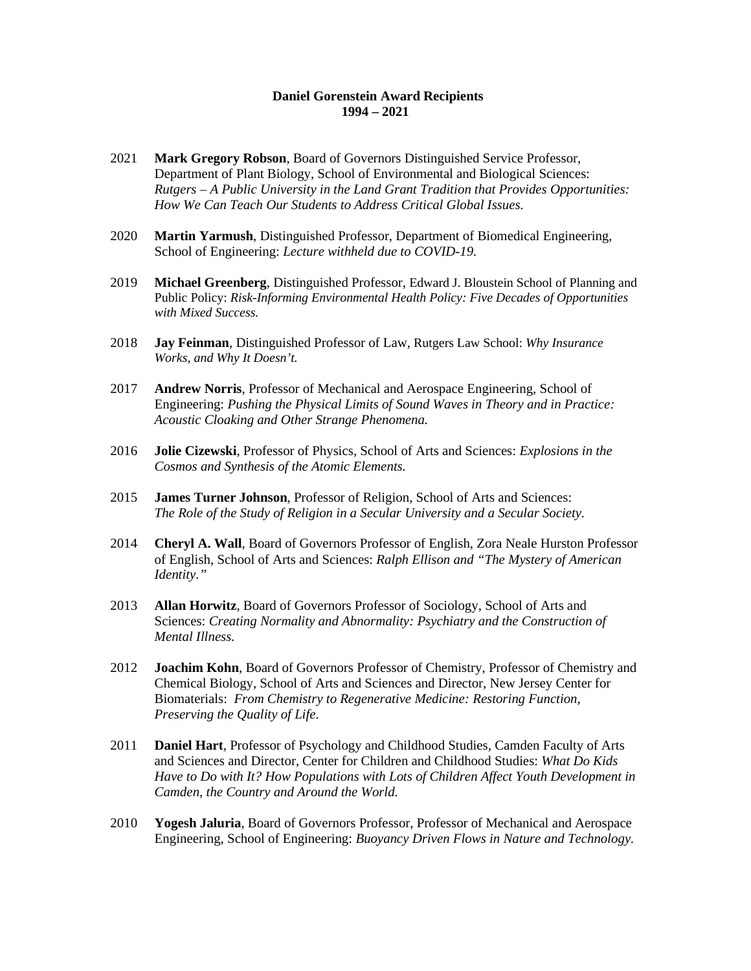## **Daniel Gorenstein Award Recipients 1994 – 2021**

- 2021 **Mark Gregory Robson**, Board of Governors Distinguished Service Professor, Department of Plant Biology, School of Environmental and Biological Sciences: *Rutgers – A Public University in the Land Grant Tradition that Provides Opportunities: How We Can Teach Our Students to Address Critical Global Issues.*
- 2020 **Martin Yarmush**, Distinguished Professor, Department of Biomedical Engineering, School of Engineering: *Lecture withheld due to COVID-19.*
- 2019 **Michael Greenberg**, Distinguished Professor, Edward J. Bloustein School of Planning and Public Policy: *Risk-Informing Environmental Health Policy: Five Decades of Opportunities with Mixed Success.*
- 2018 **Jay Feinman**, Distinguished Professor of Law, Rutgers Law School: *Why Insurance Works, and Why It Doesn't.*
- 2017 **Andrew Norris**, Professor of Mechanical and Aerospace Engineering, School of Engineering: *Pushing the Physical Limits of Sound Waves in Theory and in Practice: Acoustic Cloaking and Other Strange Phenomena.*
- 2016 **Jolie Cizewski**, Professor of Physics, School of Arts and Sciences: *Explosions in the Cosmos and Synthesis of the Atomic Elements.*
- 2015 **James Turner Johnson**, Professor of Religion, School of Arts and Sciences: *The Role of the Study of Religion in a Secular University and a Secular Society.*
- 2014 **Cheryl A. Wall**, Board of Governors Professor of English, Zora Neale Hurston Professor of English, School of Arts and Sciences: *Ralph Ellison and "The Mystery of American Identity."*
- 2013 **Allan Horwitz**, Board of Governors Professor of Sociology, School of Arts and Sciences: *Creating Normality and Abnormality: Psychiatry and the Construction of Mental Illness.*
- 2012 **Joachim Kohn**, Board of Governors Professor of Chemistry, Professor of Chemistry and Chemical Biology, School of Arts and Sciences and Director, New Jersey Center for Biomaterials: *From Chemistry to Regenerative Medicine: Restoring Function, Preserving the Quality of Life.*
- 2011 **Daniel Hart**, Professor of Psychology and Childhood Studies, Camden Faculty of Arts and Sciences and Director, Center for Children and Childhood Studies: *What Do Kids Have to Do with It? How Populations with Lots of Children Affect Youth Development in Camden, the Country and Around the World.*
- 2010 **Yogesh Jaluria**, Board of Governors Professor, Professor of Mechanical and Aerospace Engineering, School of Engineering: *Buoyancy Driven Flows in Nature and Technology.*